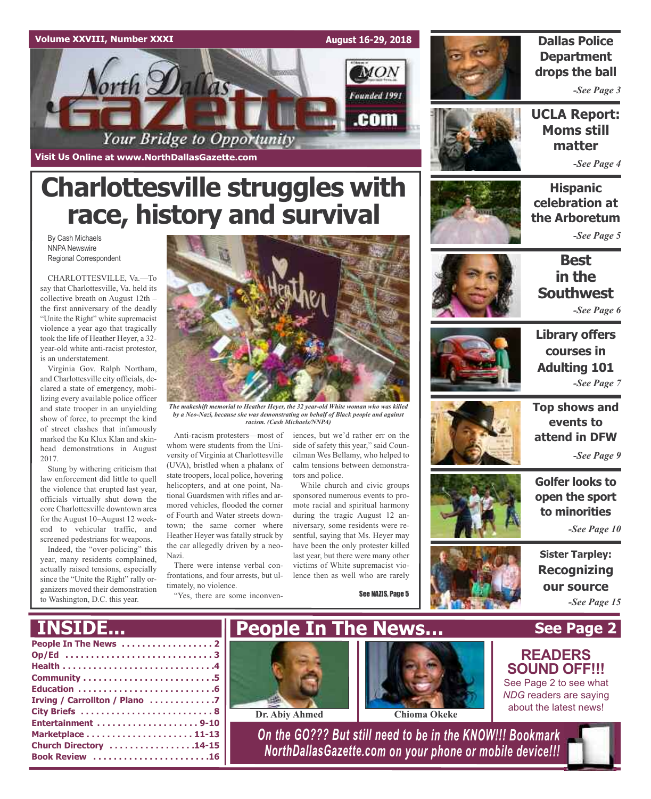### **Volume XXVIII, Number XXXI**

**Visit Us Online at www.NorthDallasGazette.com**



**Charlottesville struggles with**

**race, history and survival**



### **Dallas Police Department drops the ball**

*-See Page 3*

**UCLA Report: Moms still matter**

*-See Page 4*

### **Hispanic celebration at the Arboretum**

*-See Page 5*

By Cash Michaels NNPA Newswire Regional Correspondent

CHARLOTTESVILLE, Va.—To say that Charlottesville, Va. held its collective breath on August 12th – the first anniversary of the deadly "Unite the Right" white supremacist violence a year ago that tragically took the life of Heather Heyer, a 32 year-old white anti-racist protestor, is an understatement.

Virginia Gov. Ralph Northam, and Charlottesville city officials, declared a state of emergency, mobilizing every available police officer and state trooper in an unyielding show of force, to preempt the kind of street clashes that infamously marked the Ku Klux Klan and skinhead demonstrations in August 2017.

Stung by withering criticism that law enforcement did little to quell the violence that erupted last year, officials virtually shut down the core Charlottesville downtown area for the August 10–August 12 weekend to vehicular traffic, and screened pedestrians for weapons.

Indeed, the "over-policing" this year, many residents complained, actually raised tensions, especially since the "Unite the Right" rally organizers moved their demonstration to Washington, D.C. this year.



*The makeshift memorial to Heather Heyer, the 32 year-old White woman who was killed by a Neo-Nazi, because she was demonstrating on behalf of Black people and against racism. (Cash Michaels/NNPA)*

Anti-racism protesters—most of whom were students from the University of Virginia at Charlottesville (UVA), bristled when a phalanx of state troopers, local police, hovering helicopters, and at one point, National Guardsmen with rifles and armored vehicles, flooded the corner of Fourth and Water streets downtown; the same corner where Heather Heyer was fatally struck by the car allegedly driven by a neo-Nazi.

There were intense verbal confrontations, and four arrests, but ultimately, no violence.

"Yes, there are some inconven-

iences, but we'd rather err on the side of safety this year," said Councilman Wes Bellamy, who helped to calm tensions between demonstrators and police.

While church and civic groups sponsored numerous events to promote racial and spiritual harmony during the tragic August 12 anniversary, some residents were resentful, saying that Ms. Heyer may have been the only protester killed last year, but there were many other victims of White supremacist violence then as well who are rarely

See NAZIS, Page 5



### **Best in the Southwest**

*-See Page 6*



**Library offers courses in Adulting 101** *-See Page 7*



**Top shows and events to attend in DFW**

*-See Page 9*

**Golfer looks to open the sport to minorities**

*-See Page 10*

**Sister Tarpley: Recognizing our source** *-See Page 15*

### **INSIDE...**

| Irving / Carrollton / Plano 7 |
|-------------------------------|
|                               |
|                               |
|                               |
| Church Directory 14-15        |
| Book Review 16                |
|                               |





**Dr. Abiy Ahmed Chioma Okeke**

*On the GO??? But still need to be in the KNOW!!! Bookmark NorthDallasGazette.com on your phone or mobile device!!!*



### **READERS SOUND OFF!!!**

See Page 2 to see what *NDG* readers are saying about the latest news!

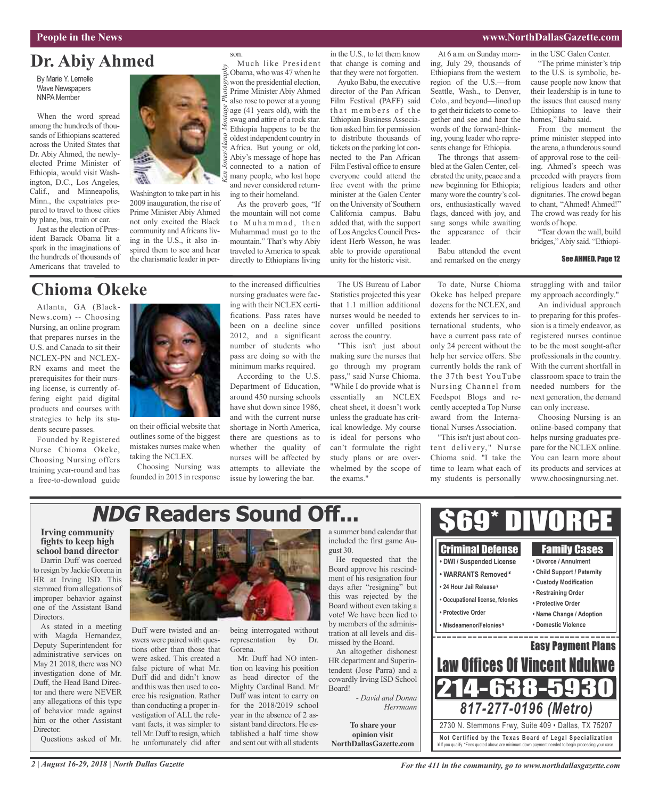### **Dr. Abiy Ahmed**

By Marie Y. Lemelle Wave Newspapers NNPA Member

When the word spread among the hundreds of thousands of Ethiopians scattered across the United States that Dr. Abiy Ahmed, the newlyelected Prime Minister of Ethiopia, would visit Washington, D.C., Los Angeles, Calif., and Minneapolis, Minn., the expatriates prepared to travel to those cities by plane, bus, train or car.

Just as the election of President Barack Obama lit a spark in the imaginations of the hundreds of thousands of Americans that traveled to



son.

*Ken Jones/Alano Montage Photography*

Much like President Obama, who was 47 when he won the presidential election, Prime Minister Abiy Ahmed also rose to power at a young age (41 years old), with the swag and attire of a rock star. Ethiopia happens to be the oldest independent country in Africa. But young or old, Abiy's message of hope has connected to a nation of many people, who lost hope and never considered returning to their homeland.

Washington to take part in his 2009 inauguration, the rise of Prime Minister Abiy Ahmed not only excited the Black community and Africans living in the U.S., it also inspired them to see and hear the charismatic leader in per-

### **Chioma Okeke**

Atlanta, GA (Black-News.com) -- Choosing Nursing, an online program that prepares nurses in the U.S. and Canada to sit their NCLEX-PN and NCLEX-RN exams and meet the prerequisites for their nursing license, is currently offering eight paid digital products and courses with strategies to help its students secure passes.

Founded by Registered Nurse Chioma Okeke, Choosing Nursing offers training year-round and has a free-to-download guide



on their official website that outlines some of the biggest mistakes nurses make when taking the NCLEX.

Choosing Nursing was founded in 2015 in response to the increased difficulties nursing graduates were facing with their NCLEX certifications. Pass rates have been on a decline since 2012, and a significant number of students who pass are doing so with the minimum marks required.

As the proverb goes, "If the mountain will not come to Muhammad, then Muhammad must go to the mountain." That's why Abiy traveled to America to speak directly to Ethiopians living

According to the U.S. Department of Education, around 450 nursing schools have shut down since 1986, and with the current nurse shortage in North America, there are questions as to whether the quality of nurses will be affected by attempts to alleviate the issue by lowering the bar.

in the U.S., to let them know that change is coming and that they were not forgotten.

Ayuko Babu, the executive director of the Pan African Film Festival (PAFF) said that members of the Ethiopian Business Association asked him for permission to distribute thousands of tickets on the parking lot connected to the Pan African Film Festival office to ensure everyone could attend the free event with the prime minister at the Galen Center on the University of Southern California campus. Babu added that, with the support of LosAngeles Council President Herb Wesson, he was able to provide operational unity for the historic visit.

The US Bureau of Labor Statistics projected this year that 1.1 million additional nurses would be needed to cover unfilled positions

"This isn't just about making sure the nurses that go through my program pass," said Nurse Chioma. "While I do provide what is essentially an NCLEX cheat sheet, it doesn't work unless the graduate has critical knowledge. My course is ideal for persons who can't formulate the right study plans or are overwhelmed by the scope of

across the country.

At 6 a.m. on Sunday morning, July 29, thousands of Ethiopians from the western region of the U.S.—from Seattle, Wash., to Denver, Colo., and beyond—lined up to get their tickets to come together and see and hear the words of the forward-thinking, young leader who represents change for Ethiopia.

The throngs that assembled at the Galen Center, celebrated the unity, peace and a new beginning for Ethiopia; many wore the country's colors, enthusiastically waved flags, danced with joy, and sang songs while awaiting the appearance of their leader.

Babu attended the event and remarked on the energy

To date, Nurse Chioma Okeke has helped prepare dozens for the NCLEX, and extends her services to international students, who have a current pass rate of only 24 percent without the help her service offers. She currently holds the rank of the 37th best YouTube Nursing Channel from Feedspot Blogs and recently accepted a Top Nurse award from the International Nurses Association. "This isn't just about content delivery," Nurse Chioma said. "I take the time to learn what each of my students is personally

in the USC Galen Center.

"The prime minister's trip to the U.S. is symbolic, because people now know that their leadership is in tune to the issues that caused many Ethiopians to leave their homes," Babu said.

From the moment the prime minister stepped into the arena, a thunderous sound of approval rose to the ceiling. Ahmed's speech was preceded with prayers from religious leaders and other dignitaries. The crowd began to chant, "Ahmed! Ahmed!" The crowd was ready for his words of hope.

"Tear down the wall, build bridges,"Abiy said. "Ethiopi-

#### See AHMED, Page 12

struggling with and tailor my approach accordingly."

An individual approach to preparing for this profession is a timely endeavor, as registered nurses continue to be the most sought-after professionals in the country. With the current shortfall in classroom space to train the needed numbers for the next generation, the demand can only increase.

Choosing Nursing is an online-based company that helps nursing graduates prepare for the NCLEX online. You can learn more about its products and services at www.choosingnursing.net.

**NDG Readers Sound Off...**

### **Irving community fights to keep high school band director**

Darrin Duff was coerced to resign by Jackie Gorena in HR at Irving ISD. This stemmed from allegations of improper behavior against one of the Assistant Band **Directors** 

As stated in a meeting with Magda Hernandez, Deputy Superintendent for administrative services on May 21 2018, there was NO investigation done of Mr. Duff, the Head Band Director and there were NEVER any allegations of this type of behavior made against him or the other Assistant Director.

Questions asked of Mr.

*2 | August 16-29, 2018 | North Dallas Gazette*



Duff were twisted and answers were paired with questions other than those that were asked. This created a false picture of what Mr. Duff did and didn't know and this wasthen used to coerce his resignation. Rather than conducting a proper investigation of ALL the relevant facts, it was simpler to tell Mr. Duff to resign, which he unfortunately did after

being interrogated without representation by Dr. Gorena.

Mr. Duff had NO intention on leaving his position as head director of the Mighty Cardinal Band. Mr Duff was intent to carry on for the 2018/2019 school year in the absence of 2 assistant band directors. He established a half time show and sent out with all students

### a summer band calendar that included the first game August 30.

the exams."

He requested that the Board approve his rescindment of his resignation four days after "resigning" but this was rejected by the Board without even taking a vote! We have been lied to by members of the administration at all levels and dismissed by the Board.

An altogether dishonest HR department and Superintendent (Jose Parra) and a cowardly Irving ISD School Board!

*- David and Donna*

**To share your opinion visit NorthDallasGazette.com**



*For the 411 in the community, go to www.northdallasgazette.com*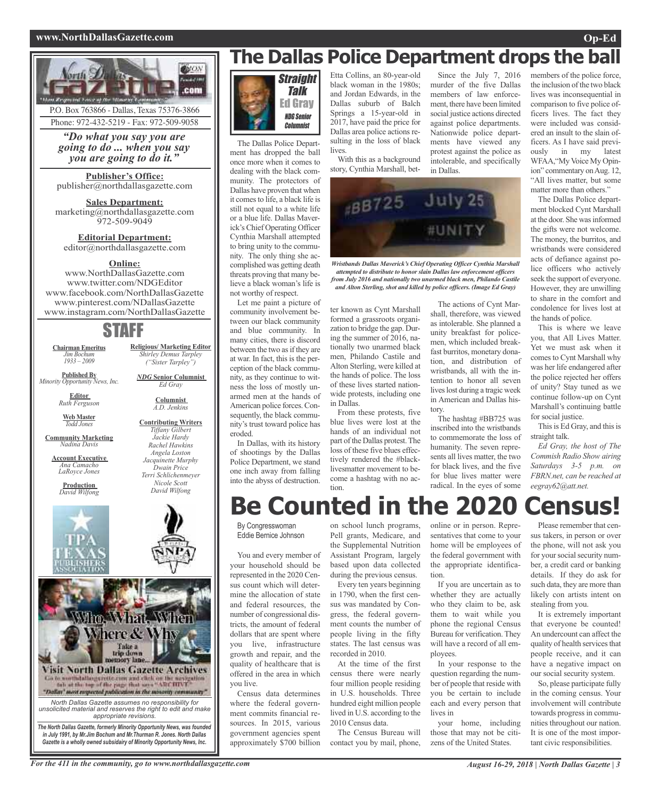### **www.NorthDallasGazette.com Op-Ed**



P.O. Box 763866 - Dallas, Texas 75376-3866 Phone: 972-432-5219 - Fax: 972-509-9058

*"Do what you say you are going to do ... when you say you are going to do it."*

**Publisher's Office:** publisher@northdallasgazette.com

**Sales Department:** marketing@northdallasgazette.com 972-509-9049

**Editorial Department:** editor@northdallasgazette.com

### **Online:**

www.NorthDallasGazette.com www.twitter.com/NDGEditor www.facebook.com/NorthDallasGazette www.pinterest.com/NDallasGazette www.instagram.com/NorthDallasGazette

### STAFF

**Chairman Emeritus** *Jim Bochum 1933 – 2009*

**Published By** *Minority Opportunity News, Inc.*

> **Editor** *Ruth Ferguson*

**Web Master** *Todd Jones*

**Community Marketing** *Nadina Davis*

**Account Executive** *Ana Camacho LaRoyce Jones*

**Production** *David Wilfong*



**Contributing Writers** *Tiffany Gilbert Jackie Hardy Rachel Hawkins Angela Loston Jacquinette Murphy Dwain Price Terri Schlichenmeyer*

**Religious/ Marketing Editor** *Shirley Demus Tarpley ("Sister Tarpley") NDG* **Senior Columnist** *Ed Gray* **Columnist** *A.D. Jenkins*





*The North Dallas Gazette, formerly Minority Opportunity News, was founded in July 1991, by Mr.Jim Bochum and Mr.Thurman R. Jones. North Dallas Gazette is a wholly owned subsidairy of Minority Opportunity News, Inc.*

## **The Dallas Police Department drops the ball**



The Dallas Police Department has dropped the ball once more when it comes to dealing with the black community. The protectors of Dallas have proven that when it comes to life, a black life is still not equal to a white life or a blue life. Dallas Maverick's Chief Operating Officer Cynthia Marshall attempted to bring unity to the community. The only thing she accomplished was getting death threats proving that many believe a black woman's life is not worthy of respect.

Let me paint a picture of community involvement between our black community and blue community. In many cities, there is discord between the two as if they are at war. In fact, this is the perception of the black community, as they continue to witness the loss of mostly unarmed men at the hands of American police forces.Consequently, the black community's trust toward police has eroded.

In Dallas, with its history of shootings by the Dallas Police Department, we stand one inch away from falling into the abyss of destruction. Etta Collins, an 80-year-old black woman in the 1980s; and Jordan Edwards, in the Dallas suburb of Balch Springs a 15-year-old in 2017, have paid the price for Dallas area police actions resulting in the loss of black

**lives** With this as a background story, Cynthia Marshall, bet-



*Wristbands Dallas Maverick's Chief Operating Officer Cynthia Marshall attempted to distribute to honor slain Dallas law enforcement officers from July 2016 and nationally two unarmed black men, Philando Castile and Alton Sterling, shot and killed by police officers. (Image Ed Gray)*

ter known as Cynt Marshall formed a grassroots organization to bridge the gap. During the summer of 2016, nationally two unarmed black men, Philando Castile and Alton Sterling, were killed at the hands of police. The loss of these lives started nationwide protests, including one in Dallas.

From these protests, five blue lives were lost at the hands of an individual not part of the Dallas protest.The loss of these five blues effectively rendered the #blacklivesmatter movement to become a hashtag with no action.

Since the July 7, 2016 murder of the five Dallas members of law enforcement, there have been limited social justice actions directed against police departments. Nationwide police departments have viewed any protest against the police as intolerable, and specifically in Dallas.

The actions of Cynt Marshall, therefore, was viewed as intolerable. She planned a unity breakfast for policemen, which included breakfast burritos, monetary donation, and distribution of wristbands, all with the intention to honor all seven lives lost during a tragic week in American and Dallas his-

The hashtag #BB725 was inscribed into the wristbands to commemorate the loss of humanity. The seven represents all lives matter, the two for black lives, and the five for blue lives matter were radical. In the eyes of some

were included was considered an insult to the slain officers. As I have said previously in my latest WFAA,"My Voice My Opinion" commentary on Aug. 12, "All lives matter, but some matter more than others."

The Dallas Police department blocked Cynt Marshall at the door. She wasinformed the gifts were not welcome. The money, the burritos, and wristbands were considered acts of defiance against police officers who actively seek the support of everyone. However, they are unwilling to share in the comfort and condolence for lives lost at the hands of police.

This is where we leave you, that All Lives Matter. Yet we must ask when it comes to Cynt Marshall why was her life endangered after the police rejected her offers of unity? Stay tuned as we continue follow-up on Cynt Marshall's continuing battle for social justice.

This is Ed Gray, and this is straight talk.

*Ed Gray, the host of The Commish Radio Show airing Saturdays 3-5 p.m. on FBRN.net, can be reached at eegray62@att.net.*

## **Be Counted in the 2020 Census!**

tory.

By Congresswoman Eddie Bernice Johnson

You and every member of your household should be represented in the 2020 Census count which will determine the allocation of state and federal resources, the number of congressional districts, the amount of federal dollars that are spent where you live, infrastructure growth and repair, and the quality of healthcare that is offered in the area in which you live.

Census data determines where the federal government commits financial resources. In 2015, various government agencies spent approximately \$700 billion

on school lunch programs, Pell grants, Medicare, and the Supplemental Nutrition Assistant Program, largely based upon data collected during the previous census.

Every ten years beginning in 1790, when the first census was mandated by Congress, the federal government counts the number of people living in the fifty states. The last census was recorded in 2010.

At the time of the first census there were nearly four million people residing in U.S. households. Three hundred eight million people lived in U.S. according to the 2010 Census data.

The Census Bureau will contact you by mail, phone, online or in person. Representatives that come to your home will be employees of the federal government with the appropriate identification.

If you are uncertain as to whether they are actually who they claim to be, ask them to wait while you phone the regional Census Bureau for verification. They will have a record of all employees.

In your response to the question regarding the number of people that reside with you be certain to include each and every person that lives in

your home, including those that may not be citizens of the United States.

Please remember that census takers, in person or over the phone, will not ask you for your social security number, a credit card or banking details. If they do ask for such data, they are more than likely con artists intent on stealing from you.

It is extremely important that everyone be counted! An undercount can affect the quality of health services that people receive, and it can have a negative impact on our social security system.

So, please participate fully in the coming census. Your involvement will contribute towards progress in communities throughout our nation. It is one of the most important civic responsibilities.

members of the police force, the inclusion of the two black lives was inconsequential in comparison to five police officers lives. The fact they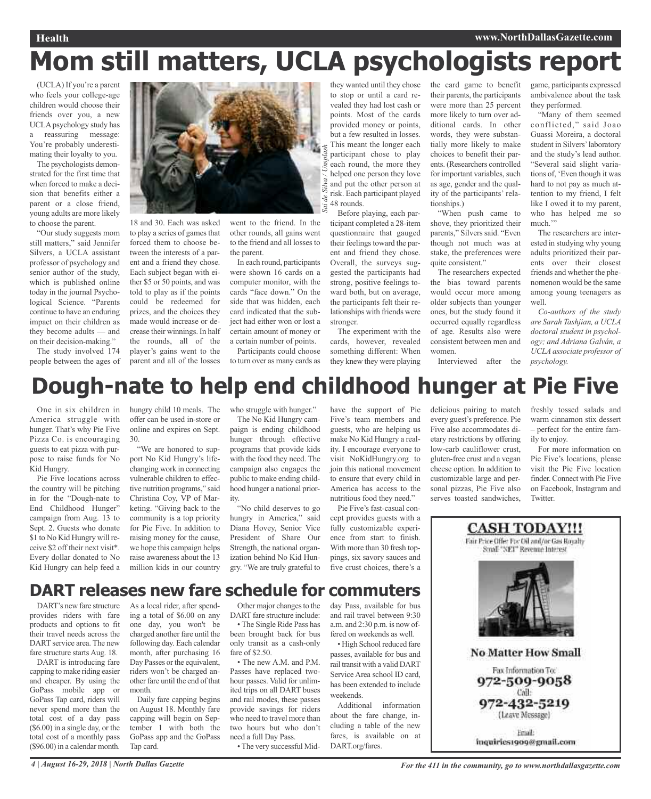## **Mom still matters, UCLA psychologists report**

*Sai de Silva / Unsplash*

Å

(UCLA) If you're a parent who feels your college-age children would choose their friends over you, a new UCLApsychology study has a reassuring message: You're probably underestimating their loyalty to you.

The psychologists demonstrated for the first time that when forced to make a decision that benefits either a parent or a close friend, young adults are more likely to choose the parent.

"Our study suggests mom still matters," said Jennifer Silvers, a UCLA assistant professor of psychology and senior author of the study, which is published online today in the journal Psychological Science. "Parents continue to have an enduring impact on their children as they become adults — and on their decision-making."

The study involved 174 people between the ages of



18 and 30. Each was asked to play a series of games that forced them to choose between the interests of a parent and a friend they chose. Each subject began with either \$5 or 50 points, and was told to play as if the points could be redeemed for prizes, and the choices they made would increase or decrease their winnings. In half the rounds, all of the player's gains went to the parent and all of the losses

went to the friend. In the other rounds, all gains went to the friend and all losses to the parent.

In each round, participants were shown 16 cards on a computer monitor, with the cards "face down." On the side that was hidden, each card indicated that the subject had either won or lost a certain amount of money or a certain number of points.

Participants could choose to turn over as many cards as

they wanted until they chose to stop or until a card revealed they had lost cash or points. Most of the cards provided money or points, but a few resulted in losses. This meant the longer each participant chose to play each round, the more they helped one person they love and put the other person at risk. Each participant played 48 rounds. Before playing, each par-

ticipant completed a 28-item questionnaire that gauged their feelings toward the parent and friend they chose. Overall, the surveys suggested the participants had strong, positive feelings toward both, but on average, the participants felt their relationships with friends were stronger.

The experiment with the cards, however, revealed something different: When they knew they were playing

the card game to benefit their parents, the participants were more than 25 percent more likely to turn over additional cards. In other words, they were substantially more likely to make choices to benefit their parents. (Researchers controlled for important variables, such as age, gender and the quality of the participants' relationships.)

"When push came to shove, they prioritized their parents," Silvers said. "Even though not much was at stake, the preferences were quite consistent."

The researchers expected the bias toward parents would occur more among older subjects than younger ones, but the study found it occurred equally regardless of age. Results also were consistent between men and women.

game, participants expressed ambivalence about the task they performed.

"Many of them seemed conflicted," said Joao Guassi Moreira, a doctoral student in Silvers'laboratory and the study's lead author. "Several said slight variations of, 'Even though it was hard to not pay as much attention to my friend, I felt like I owed it to my parent, who has helped me so much."

The researchers are interested in studying why young adults prioritized their parents over their closest friends and whether the phenomenon would be the same among young teenagers as well.

*Co-authors of the study are Sarah Tashjian, a UCLA doctoral student in psychology; and Adriana Galván, a UCLA associate professor of psychology.*

Interviewed after the

## **Dough-nate to help end childhood hunger at Pie Five**

One in six children in America struggle with hunger. That's why Pie Five Pizza Co. is encouraging guests to eat pizza with purpose to raise funds for No Kid Hungry.

Pie Five locations across the country will be pitching in for the "Dough-nate to End Childhood Hunger" campaign from Aug. 13 to Sept. 2. Guests who donate \$1 to No Kid Hungry will receive \$2 off their next visit\*. Every dollar donated to No Kid Hungry can help feed a

hungry child 10 meals. The offer can be used in-store or online and expires on Sept. 30.

"We are honored to support No Kid Hungry's lifechanging work in connecting vulnerable children to effective nutrition programs," said Christina Coy, VP of Marketing. "Giving back to the community is a top priority for Pie Five. In addition to raising money for the cause, we hope this campaign helps raise awareness about the 13 million kids in our country who struggle with hunger."

The No Kid Hungry campaign is ending childhood hunger through effective programs that provide kids with the food they need. The campaign also engages the public to make ending childhood hunger a national priority.

"No child deserves to go hungry in America," said Diana Hovey, Senior Vice President of Share Our Strength, the national organization behind No Kid Hungry. "We are truly grateful to

have the support of Pie Five's team members and guests, who are helping us make No Kid Hungry a reality. I encourage everyone to visit NoKidHungry.org to join this national movement to ensure that every child in America has access to the nutritious food they need." Pie Five's fast-casual con-

cept provides guests with a fully customizable experience from start to finish. With more than 30 fresh toppings, six savory sauces and five crust choices, there's a

delicious pairing to match every guest's preference. Pie Five also accommodates dietary restrictions by offering low-carb cauliflower crust, gluten-free crust and a vegan cheese option. In addition to customizable large and personal pizzas, Pie Five also serves toasted sandwiches,

freshly tossed salads and warm cinnamon stix dessert – perfect for the entire family to enjoy.

For more information on Pie Five's locations, please visit the Pie Five location finder. Connect with Pie Five on Facebook, Instagram and Twitter.

### **CASH TODAY!!!** Fair Price Offer Foc Oil and/or Gas Royalty Small "NET" Revenue Interest **No Matter How Small** Fax Information To: 972-509-9058 Call: 972-432-5219 (Leave Message) Eriail: inquiries1909@gmail.com

**DART releases new fare schedule for commuters**

DART's new fare structure provides riders with fare products and options to fit their travel needs across the DART service area. The new fare structure starts Aug. 18.

DART is introducing fare capping to make riding easier and cheaper. By using the GoPass mobile app or GoPass Tap card, riders will never spend more than the total cost of a day pass (\$6.00) in a single day, or the total cost of a monthly pass (\$96.00) in a calendar month.

As a local rider, after spending a total of \$6.00 on any one day, you won't be charged another fare until the following day. Each calendar month, after purchasing 16 Day Passes or the equivalent, riders won't be charged another fare until the end of that month.

Daily fare capping begins on August 18. Monthly fare capping will begin on September 1 with both the GoPass app and the GoPass Tap card.

Other major changes to the DART fare structure include:

• The Single Ride Pass has been brought back for bus only transit as a cash-only fare of \$2.50.

• The new A.M. and P.M. Passes have replaced twohour passes. Valid for unlimited trips on all DART buses and rail modes, these passes provide savings for riders who need to travel more than two hours but who don't need a full Day Pass.

•The very successful Mid-

day Pass, available for bus and rail travel between 9:30 a.m. and 2:30 p.m. is now offered on weekends as well.

• High School reduced fare passes, available for bus and rail transit with a valid DART Service Area school ID card, has been extended to include weekends.

Additional information about the fare change, including a table of the new fares, is available on at DART.org/fares.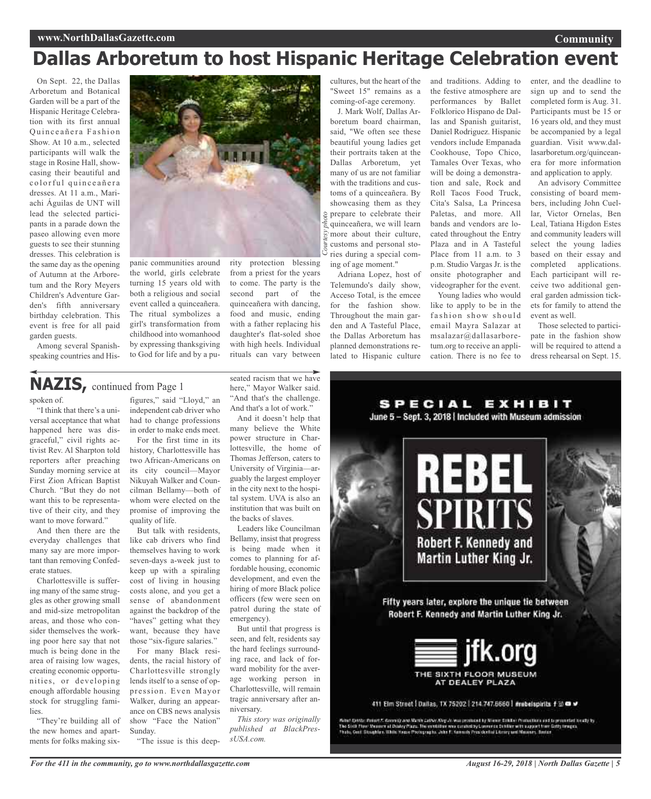## **Dallas Arboretum to host Hispanic Heritage Celebration event**

On Sept. 22, the Dallas Arboretum and Botanical Garden will be a part of the Hispanic Heritage Celebration with its first annual Quinceañera Fashion Show. At 10 a.m., selected participants will walk the stage in Rosine Hall, showcasing their beautiful and colorful quinceañera dresses. At 11 a.m., Mariachi Águilas de UNT will lead the selected participants in a parade down the paseo allowing even more guests to see their stunning dresses. This celebration is the same day as the opening of Autumn at the Arboretum and the Rory Meyers Children's Adventure Garden's fifth anniversary birthday celebration. This event is free for all paid garden guests.

Among several Spanishspeaking countries and His-



panic communities around the world, girls celebrate turning 15 years old with both a religious and social event called a quinceañera. The ritual symbolizes a girl's transformation from childhood into womanhood by expressing thanksgiving to God for life and by a pu-

rity protection blessing from a priest for the years to come. The party is the second part of the quinceañera with dancing, food and music, ending with a father replacing his daughter's flat-soled shoe with high heels. Individual rituals can vary between

**NAZIS,** continued from Page <sup>1</sup>

spoken of.

"I think that there's a universal acceptance that what happened here was disgraceful," civil rights activist Rev. Al Sharpton told reporters after preaching Sunday morning service at First Zion African Baptist Church. "But they do not want this to be representative of their city, and they want to move forward."

And then there are the everyday challenges that many say are more important than removing Confederate statues.

Charlottesville is suffering many of the same struggles as other growing small and mid-size metropolitan areas, and those who consider themselves the working poor here say that not much is being done in the area of raising low wages, creating economic opportunities, or developing enough affordable housing stock for struggling families.

"They're building all of the new homes and apartments for folks making six-

figures," said "Lloyd," an independent cab driver who had to change professions in order to make ends meet. For the first time in its

history, Charlottesville has two African-Americans on its city council—Mayor Nikuyah Walker and Councilman Bellamy—both of whom were elected on the promise of improving the quality of life.

But talk with residents, like cab drivers who find themselves having to work seven-days a-week just to keep up with a spiraling cost of living in housing costs alone, and you get a sense of abandonment against the backdrop of the "haves" getting what they want, because they have those "six-figure salaries."

For many Black residents, the racial history of Charlottesville strongly lends itself to a sense of oppression. Even Mayor Walker, during an appearance on CBS news analysis show "Face the Nation" Sunday.

"The issue is this deep-

seated racism that we have here," Mayor Walker said. "And that's the challenge. And that's a lot of work."

And it doesn't help that many believe the White power structure in Charlottesville, the home of Thomas Jefferson, caters to University of Virginia—arguably the largest employer in the city next to the hospital system. UVA is also an institution that was built on the backs of slaves.

Leaders like Councilman Bellamy, insist that progress is being made when it comes to planning for affordable housing, economic development, and even the hiring of more Black police officers (few were seen on patrol during the state of emergency).

But until that progress is seen, and felt, residents say the hard feelings surrounding race, and lack of forward mobility for the average working person in Charlottesville, will remain tragic anniversary after anniversary.

*This story was originally published at BlackPressUSA.com.*

cultures, but the heart of the "Sweet 15" remains as a coming-of-age ceremony.

*Courtesy photo* J. Mark Wolf, Dallas Arboretum board chairman, said, "We often see these beautiful young ladies get their portraits taken at the Dallas Arboretum, yet many of us are not familiar with the traditions and customs of a quinceañera. By showcasing them as they prepare to celebrate their quinceañera, we will learn more about their culture, customs and personal stories during a special coming of age moment."

Adriana Lopez, host of Telemundo's daily show, Acceso Total, is the emcee for the fashion show. Throughout the main garden and A Tasteful Place, the Dallas Arboretum has planned demonstrations related to Hispanic culture and traditions. Adding to the festive atmosphere are performances by Ballet Folklorico Hispano de Dallas and Spanish guitarist, Daniel Rodriguez. Hispanic vendors include Empanada Cookhouse, Topo Chico, Tamales Over Texas, who will be doing a demonstration and sale, Rock and Roll Tacos Food Truck, Cita's Salsa, La Princesa Paletas, and more. All bands and vendors are located throughout the Entry Plaza and in A Tasteful Place from 11 a.m. to 3 p.m. Studio Vargas Jr. is the onsite photographer and videographer for the event.

Young ladies who would like to apply to be in the fashion show should email Mayra Salazar at msalazar@dallasarboretum.org to receive an application. There is no fee to enter, and the deadline to sign up and to send the completed form is Aug. 31. Participants must be 15 or 16 years old, and they must be accompanied by a legal guardian. Visit www.dallasarboretum.org/quinceanera for more information and application to apply.

**Community**

An advisory Committee consisting of board members, including John Cuellar, Victor Ornelas, Ben Leal, Tatiana Higdon Estes and community leaders will select the young ladies based on their essay and completed applications. Each participant will receive two additional general garden admission tickets for family to attend the event as well.

Those selected to participate in the fashion show will be required to attend a dress rehearsal on Sept. 15.





411 Elm Street | Dallas, TX 75202 | 214.747.6660 | #rebelspirits f to @ #

Mitsch Statis Ponset F. Georgiy and Mathe Lather Aley Av mas promised by Wenter Souther Francoisco and is proceeded to ady by .<br>The Sixth Flow Museum at Disdey Plaza. The earth free accorded by Lourne is a Cobber with augu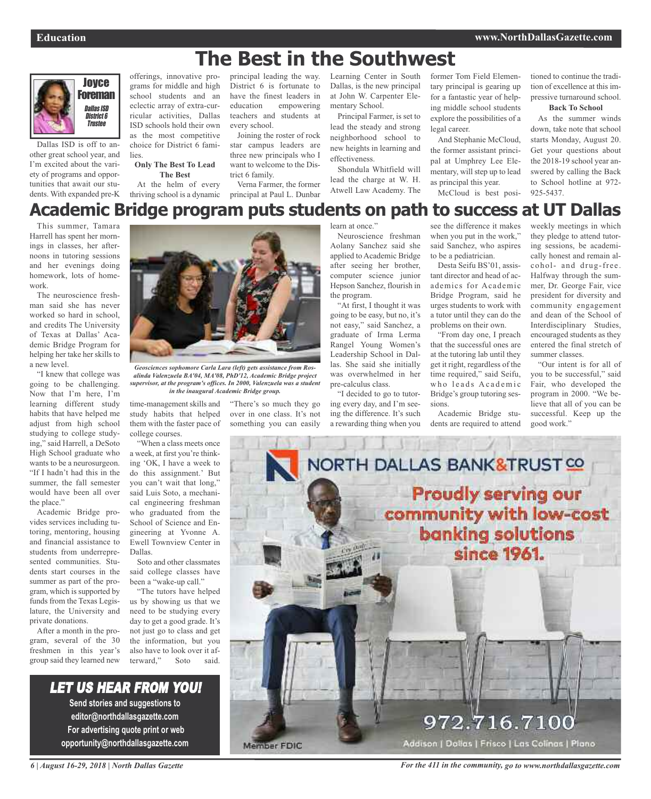

Dallas ISD is off to another great school year, and I'm excited about the variety of programs and opportunities that await our students. With expanded pre-K

offerings, innovative programs for middle and high school students and an eclectic array of extra-curricular activities, Dallas ISD schools hold their own as the most competitive choice for District 6 fami-

### **Only The Best To Lead The Best**

lies.

At the helm of every thriving school is a dynamic principal at Paul L. Dunbar

college courses.

Dallas.

been a "wake-up call."

principal leading the way. District 6 is fortunate to have the finest leaders in education empowering teachers and students at every school.

Joining the roster of rock star campus leaders are three new principals who I want to welcome to the District 6 family.

Verna Farmer, the former

Learning Center in South Dallas, is the new principal at John W. Carpenter Elementary School.

Principal Farmer, is set to lead the steady and strong neighborhood school to new heights in learning and effectiveness.

Shondula Whitfield will lead the charge at W. H. Atwell Law Academy. The former Tom Field Elementary principal is gearing up for a fantastic year of helping middle school students explore the possibilities of a legal career.

And Stephanie McCloud, the former assistant principal at Umphrey Lee Elementary, will step up to lead as principal this year.

McCloud is best posi-

tioned to continue the tradition of excellence at this impressive turnaround school.

#### **Back To School**

As the summer winds down, take note that school starts Monday, August 20. Get your questions about the 2018-19 school year answered by calling the Back to School hotline at 972- 925-5437.

### learn at once." **Academic Bridge program puts students on path to success at UT Dallas**

**The Best in the Southwest**

This summer, Tamara Harrell has spent her mornings in classes, her afternoons in tutoring sessions and her evenings doing homework, lots of homework.

The neuroscience freshman said she has never worked so hard in school, and credits The University of Texas at Dallas' Academic Bridge Program for helping her take her skills to a new level.

"I knew that college was going to be challenging. Now that I'm here, I'm learning different study habits that have helped me adjust from high school studying to college studying," said Harrell, a DeSoto High School graduate who wants to be a neurosurgeon. "If I hadn't had this in the summer, the fall semester would have been all over the place."

Academic Bridge provides services including tutoring, mentoring, housing and financial assistance to students from underrepresented communities. Students start courses in the summer as part of the program, which is supported by funds from the Texas Legislature, the University and private donations.

After a month in the program, several of the 30 freshmen in this year's group said they learned new



*Geosciences sophomore Carla Lara (left) gets assistance from Rosalinda Valenzuela BA'04, MA'08, PhD'12, Academic Bridge project supervisor, at the program's offices. In 2000, Valenzuela was a student in the inaugural Academic Bridge group.*

time-management skills and study habits that helped them with the faster pace of "There's so much they go over in one class. It's not something you can easily

Neuroscience freshman Aolany Sanchez said she

applied to Academic Bridge after seeing her brother, computer science junior Hepson Sanchez, flourish in the program.

"At first, I thought it was going to be easy, but no, it's not easy," said Sanchez, a graduate of Irma Lerma Rangel Young Women's Leadership School in Dallas. She said she initially was overwhelmed in her pre-calculus class.

"I decided to go to tutoring every day, and I'm seeing the difference. It's such a rewarding thing when you

see the difference it makes when you put in the work," said Sanchez, who aspires to be a pediatrician.

Desta Seifu BS'01, assistant director and head of academics for Academic Bridge Program, said he urges students to work with a tutor until they can do the problems on their own.

"From day one, I preach that the successful ones are at the tutoring lab until they get it right, regardless of the time required," said Seifu, who leads Academic Bridge's group tutoring sessions.

Academic Bridge students are required to attend

weekly meetings in which they pledge to attend tutoring sessions, be academically honest and remain alcohol- and drug-free. Halfway through the summer, Dr. George Fair, vice president for diversity and community engagement and dean of the School of Interdisciplinary Studies, encouraged students as they entered the final stretch of summer classes.

"Our intent is for all of you to be successful," said Fair, who developed the program in 2000. "We believe that all of you can be successful. Keep up the good work."



*6 | August 16-29, 2018 | North Dallas Gazette*

LET US HEAR FROM YOU! **Send stories and suggestions to editor@northdallasgazette.com For advertising quote print or web opportunity@northdallasgazette.com**

*For the 411 in the community, go to www.northdallasgazette.com*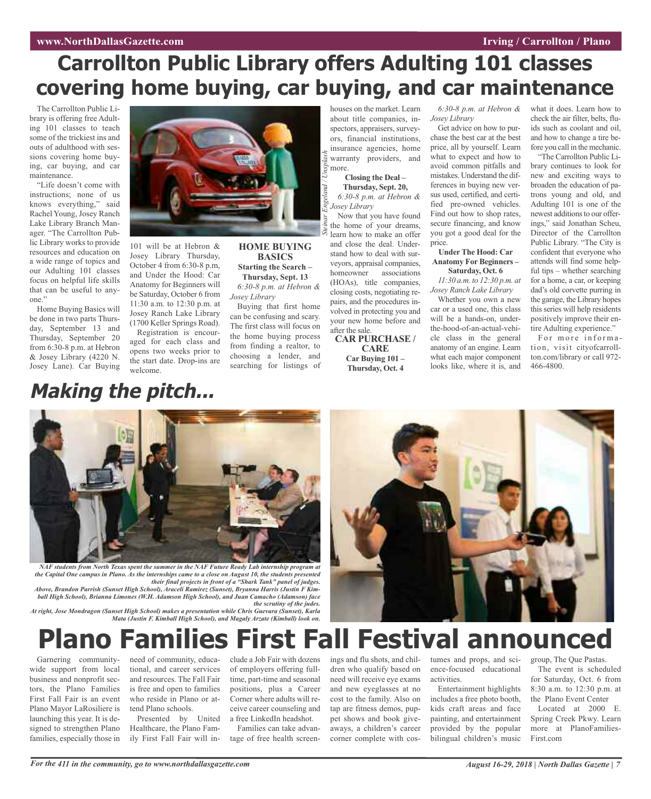### **WAW.NorthDallasGazette.com Irving** / **Carrollton** / **Plano**

## **Carrollton Public Library offers Adulting 101 classes covering home buying, car buying, and car maintenance**

The Carrollton Public Library is offering free Adulting 101 classes to teach some of the trickiest ins and outs of adulthood with sessions covering home buying, car buying, and car maintenance.

"Life doesn't come with instructions; none of us knows everything," said Rachel Young, Josey Ranch Lake Library Branch Manager. "The Carrollton Public Library works to provide resources and education on a wide range of topics and our Adulting 101 classes focus on helpful life skills that can be useful to anyone<sup>'</sup>

Home Buying Basics will be done in two parts Thursday, September 13 and Thursday, September 20 from 6:30-8 p.m. at Hebron & Josey Library (4220 N. Josey Lane). Car Buying

**Making the pitch...**



101 will be at Hebron & Josey Library Thursday, October 4 from 6:30-8 p.m, and Under the Hood: Car Anatomy for Beginners will be Saturday, October 6 from 11:30 a.m. to 12:30 p.m. at Josey Ranch Lake Library (1700 Keller Springs Road). Registration is encour-

aged for each class and opens two weeks prior to the start date. Drop-ins are welcome.

### **HOME BUYING BASICS Starting the Search –**

**Thursday, Sept. 13** *6:30-8 p.m. at Hebron & Josey Library*

Buying that first home can be confusing and scary. The first class will focus on the home buying process from finding a realtor, to choosing a lender, and searching for listings of

houses on the market. Learn about title companies, inspectors, appraisers, surveyors, financial institutions, insurance agencies, home warranty providers, and more.

#### **Closing the Deal – Thursday, Sept. 20,** *6:30-8 p.m. at Hebron &*

*Steinar Engeland / Unsplash Josey Library* Now that you have found

the home of your dreams, learn how to make an offer and close the deal. Understand how to deal with surveyors, appraisal companies, homeowner associations (HOAs), title companies, closing costs, negotiating repairs, and the procedures involved in protecting you and your new home before and after the sale.

**CAR PURCHASE / CARE**

**Car Buying 101 – Thursday, Oct. 4**

*6:30-8 p.m. at Hebron & Josey Library*

Get advice on how to purchase the best car at the best price, all by yourself. Learn what to expect and how to avoid common pitfalls and mistakes. Understand the differences in buying new versus used, certified, and certified pre-owned vehicles. Find out how to shop rates, secure financing, and know you got a good deal for the price.

#### **Under The Hood: Car Anatomy For Beginners – Saturday, Oct. 6**

*11:30 a.m. to 12:30 p.m. at Josey Ranch Lake Library*

Whether you own a new car or a used one, this class will be a hands-on, underthe-hood-of-an-actual-vehicle class in the general anatomy of an engine. Learn what each major component looks like, where it is, and what it does. Learn how to check the air filter, belts, fluids such as coolant and oil, and how to change a tire before you call in the mechanic.

"The Carrollton Public Library continues to look for new and exciting ways to broaden the education of patrons young and old, and Adulting 101 is one of the newest additions to our offerings," said Jonathan Scheu, Director of the Carrollton Public Library. "The City is confident that everyone who attends will find some helpful tips – whether searching for a home, a car, or keeping dad's old corvette purring in the garage, the Library hopes this series will help residents positively improve their entire Adulting experience."

For more information, visit cityofcarrollton.com/library or call 972- 466-4800.



*NAF students from North Texas spent the summer in the NAF Future Ready Lab internship program at* the Capital One campus in Plano. As the internships came to a close on August 10, the students presented *their final projects in front of a "Shark Tank" panel of judges. Above, Brandon Parrish (Sunset High School), Araceli Ramirez (Sunset), Bryanna Harris (Justin F Kimball High School), Brianna Limones (W.H. Adamson High School), and Juan Camacho (Adamson) face*

*the scrutiny of the judes. At right, Jose Mondragon (Sunset High School) makes a presentation while Chris Guevara (Sunset), Karla*

*Mata (Justin F. Kimball High School), and Magaly Arzate (Kimball) look on.*

## **First Fall Festival announced**

Garnering communitywide support from local business and nonprofit sectors, the Plano Families First Fall Fair is an event Plano Mayor LaRosiliere is launching this year. It is designed to strengthen Plano families, especially those in

need of community, educational, and career services and resources. The Fall Fair is free and open to families who reside in Plano or attend Plano schools.

Presented by United Healthcare, the Plano Family First Fall Fair will include a Job Fair with dozens of employers offering fulltime, part-time and seasonal positions, plus a Career Corner where adults will receive career counseling and a free LinkedIn headshot.

Families can take advantage of free health screenings and flu shots, and children who qualify based on need will receive eye exams and new eyeglasses at no cost to the family. Also on tap are fitness demos, puppet shows and book giveaways, a children's career corner complete with costumes and props, and science-focused educational activities.

Entertainment highlights includes a free photo booth, kids craft areas and face painting, and entertainment provided by the popular bilingual children's music

group, The Que Pastas.

The event is scheduled for Saturday, Oct. 6 from 8:30 a.m. to 12:30 p.m. at the Plano Event Center

Located at 2000 E. Spring Creek Pkwy. Learn more at PlanoFamilies-First.com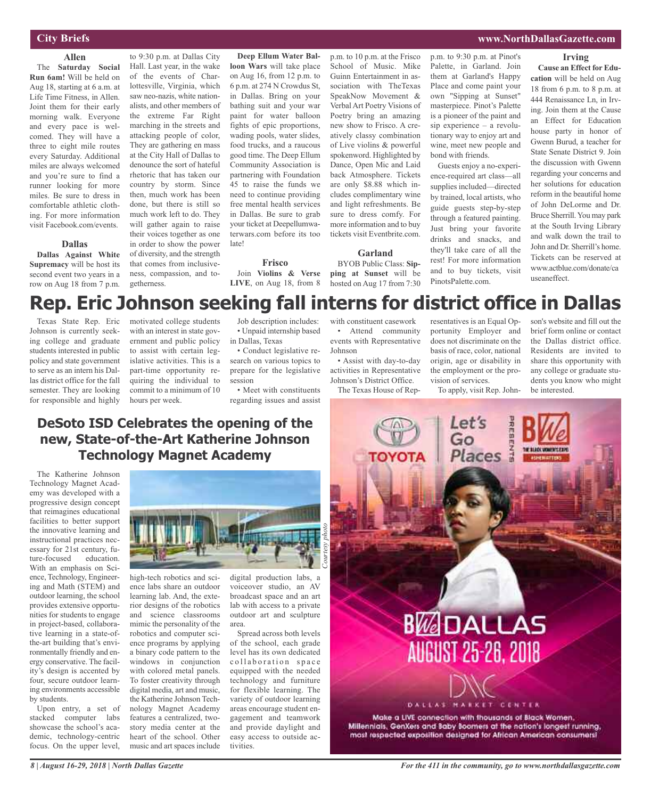### **City Briefs**

**Allen** The **Saturday Social Run 6am!** Will be held on Aug 18, starting at 6 a.m. at Life Time Fitness, in Allen. Joint them for their early morning walk. Everyone and every pace is welcomed. They will have a three to eight mile routes every Saturday. Additional miles are always welcomed and you're sure to find a runner looking for more miles. Be sure to dress in comfortable athletic clothing. For more information visit Facebook.com/events.

**Dallas Dallas Against White Supremacy** will be host its second event two years in a row on Aug 18 from 7 p.m.

### Hall. Last year, in the wake of the events of Charlottesville, Virginia, which saw neo-nazis, white nationalists, and other members of the extreme Far Right marching in the streets and attacking people of color, They are gathering en mass at the City Hall of Dallas to denounce the sort of hateful rhetoric that has taken our country by storm. Since then, much work has been done, but there is still so much work left to do. They will gather again to raise their voices together as one in order to show the power of diversity, and the strength that comes from inclusiveness, compassion, and togetherness.

to 9:30 p.m. at Dallas City

**Deep Ellum Water Balloon Wars** will take place on Aug 16, from 12 p.m. to 6 p.m. at 274 N Crowdus St, in Dallas. Bring on your bathing suit and your war paint for water balloon fights of epic proportions, wading pools, water slides, food trucks, and a raucous good time. The Deep Ellum Community Association is partnering with Foundation 45 to raise the funds we need to continue providing free mental health services in Dallas. Be sure to grab your ticket at Deepellumwaterwars.com before its too late!

### School of Music. Mike Guinn Entertainment in association with TheTexas SpeakNow Movement & Verbal Art Poetry Visions of Poetry bring an amazing new show to Frisco. A creatively classy combination of Live violins & powerful spokenword. Highlighted by Dance, Open Mic and Laid back Atmosphere. Tickets are only \$8.88 which includes complimentary wine and light refreshments. Be sure to dress comfy. For more information and to buy tickets visit Eventbrite.com.

p.m. to 10 p.m. at the Frisco

### **Garland**

BYOB Public Class: **Sipping at Sunset** will be hosted on Aug 17 from 7:30 p.m. to 9:30 p.m. at Pinot's Palette, in Garland. Join them at Garland's Happy Place and come paint your own "Sipping at Sunset" masterpiece. Pinot's Palette is a pioneer of the paint and sip experience – a revolutionary way to enjoy art and wine, meet new people and bond with friends.

Guests enjoy a no-experience-required art class—all supplies included—directed by trained, local artists, who guide guests step-by-step through a featured painting. Just bring your favorite drinks and snacks, and they'll take care of all the rest! For more information and to buy tickets, visit PinotsPalette.com.

resentatives is an Equal Opportunity Employer and does not discriminate on the basis of race, color, national

Places

### **Irving**

**www.NorthDallasGazette.com**

**Cause an Effect for Education** will be held on Aug 18 from 6 p.m. to 8 p.m. at 444 Renaissance Ln, in Irving. Join them at the Cause an Effect for Education house party in honor of Gwenn Burud, a teacher for State Senate District 9. Join the discussion with Gwenn regarding your concerns and her solutions for education reform in the beautiful home of John DeLorme and Dr. Bruce Sherrill.You may park at the South Irving Library and walk down the trail to John and Dr. Sherrill's home. Tickets can be reserved at www.actblue.com/donate/ca useaneffect.

### **Rep. Eric Johnson seeking fall interns for district office in Dallas**

Texas State Rep. Eric Johnson is currently seeking college and graduate students interested in public policy and state government to serve as an intern his Dallas district office for the fall semester. They are looking for responsible and highly

motivated college students with an interest in state government and public policy to assist with certain legislative activities. This is a part-time opportunity requiring the individual to commit to a minimum of 10 hours per week.

Job description includes: • Unpaid internship based in Dallas, Texas

**Frisco** Join **Violins & Verse LIVE**, on Aug 18, from 8

• Conduct legislative research on various topics to prepare for the legislative session

• Meet with constituents regarding issues and assist

with constituent casework Attend community events with Representative Johnson

• Assist with day-to-day activities in Representative Johnson's District Office.

**TOYOTA** 

The Texas House of Reporigin, age or disability in the employment or the provision of services. To apply, visit Rep. John-

son's website and fill out the brief form online or contact the Dallas district office. Residents are invited to share this opportunity with any college or graduate students you know who might be interested.

THE BLACK WOMEN'S EXPE

**DeSoto ISD Celebrates the opening of the new, State-of-the-Art Katherine Johnson Technology Magnet Academy**

The Katherine Johnson Technology Magnet Academy was developed with a progressive design concept that reimagines educational facilities to better support the innovative learning and instructional practices necessary for 21st century, future-focused education. With an emphasis on Science, Technology, Engineering and Math (STEM) and outdoor learning, the school provides extensive opportunities for students to engage in project-based, collaborative learning in a state-ofthe-art building that's environmentally friendly and energy conservative. The facility's design is accented by four, secure outdoor learning environments accessible by students.

Upon entry, a set of stacked computer labs showcase the school's academic, technology-centric focus. On the upper level,



high-tech robotics and science labs share an outdoor learning lab. And, the exterior designs of the robotics and science classrooms mimic the personality of the robotics and computer science programs by applying a binary code pattern to the windows in conjunction with colored metal panels. To foster creativity through digital media, art and music, the Katherine Johnson Technology Magnet Academy features a centralized, twostory media center at the heart of the school. Other music and art spaces include

digital production labs, a voiceover studio, an AV broadcast space and an art lab with access to a private outdoor art and sculpture area.

Spread across both levels of the school, each grade level has its own dedicated collaboration space equipped with the needed technology and furniture for flexible learning. The variety of outdoor learning areas encourage student engagement and teamwork and provide daylight and easy access to outside activities.

## **BWDALLAS AUGUST 25-26, 2018**

Make a LIVE connection with thousands of Black Women, Millennials, GenXers and Baby Boomers at the nation's longest running, most respected exposition designed for African American consumers!

DALLAS MAILLEE CENTER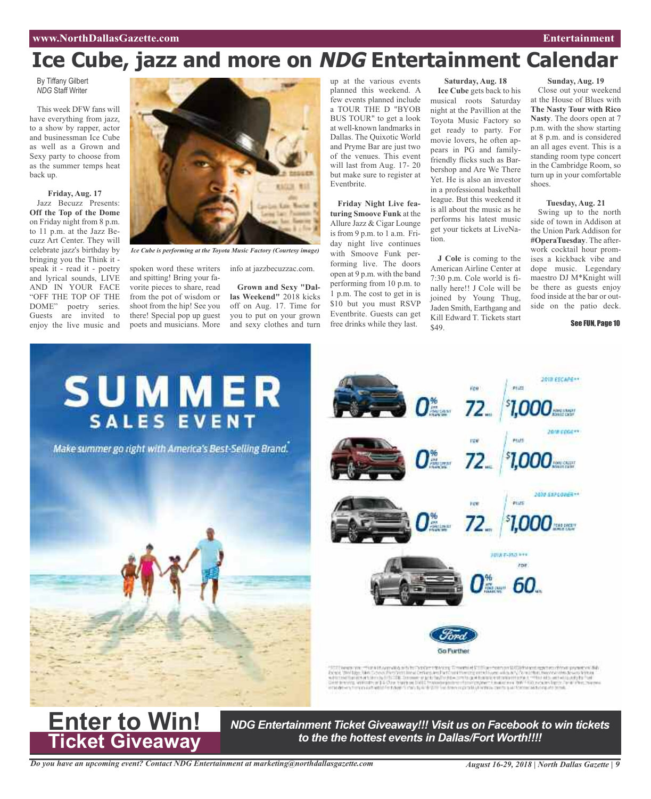## **Ice Cube, jazz and more on NDG Entertainment Calendar**

By Tiffany Gilbert *NDG* Staff Writer

This week DFW fans will have everything from jazz, to a show by rapper, actor and businessman Ice Cube as well as a Grown and Sexy party to choose from as the summer temps heat back up.

### **Friday, Aug. 17**

Jazz Becuzz Presents: **Off the Top of the Dome** on Friday night from 8 p.m. to 11 p.m. at the Jazz Becuzz Art Center. They will celebrate jazz's birthday by bringing you the Think it speak it - read it - poetry and lyrical sounds, LIVE AND IN YOUR FACE "OFF THE TOP OF THE DOME" poetry series. Guests are invited to enjoy the live music and



*Ice Cube is performing at the Toyota Music Factory (Courtesy image)*

spoken word these writers and spitting! Bring your favorite pieces to share, read from the pot of wisdom or shoot from the hip! See you there! Special pop up guest poets and musicians. More

info at jazzbecuzzac.com.

**Grown and Sexy "Dallas Weekend"** 2018 kicks off on Aug. 17. Time for you to put on your grown and sexy clothes and turn

up at the various events planned this weekend. A few events planned include a TOUR THE D "BYOB BUS TOUR" to get a look at well-known landmarks in Dallas. The Quixotic World and Pryme Bar are just two of the venues. This event will last from Aug. 17- 20 but make sure to register at Eventbrite.

**Friday Night Live featuring Smoove Funk** at the Allure Jazz & Cigar Lounge is from 9 p.m. to 1 a.m. Friday night live continues with Smoove Funk performing live. The doors open at 9 p.m. with the band performing from 10 p.m. to 1 p.m. The cost to get in is \$10 but you must RSVP Eventbrite. Guests can get free drinks while they last.

**Saturday, Aug. 18 Ice Cube** gets back to his musical roots Saturday night at the Pavillion at the Toyota Music Factory so get ready to party. For movie lovers, he often appears in PG and familyfriendly flicks such as Barbershop and Are We There Yet. He is also an investor in a professional basketball league. But this weekend it is all about the music as he performs his latest music get your tickets at LiveNation.

**J Cole** is coming to the American Airline Center at 7:30 p.m. Cole world is finally here!! J Cole will be joined by Young Thug, Jaden Smith, Earthgang and Kill Edward T. Tickets start \$49.

**Sunday, Aug. 19** Close out your weekend at the House of Blues with **The Nasty Tour with Rico Nasty**. The doors open at 7 p.m. with the show starting at 8 p.m. and is considered an all ages event. This is a standing room type concert in the Cambridge Room, so turn up in your comfortable shoes.

#### **Tuesday, Aug. 21**

Swing up to the north side of town in Addison at the Union Park Addison for **#OperaTuesday**. The afterwork cocktail hour promises a kickback vibe and dope music. Legendary maestro DJ M\*Knight will be there as guests enjoy food inside at the bar or outside on the patio deck.

#### See FUN, Page 10





*NDG Entertainment Ticket Giveaway!!! Visit us on Facebook to win tickets to the the hottest events in Dallas/Fort Worth!!!!*

**Enter to Win!**

**Ticket Giveaway**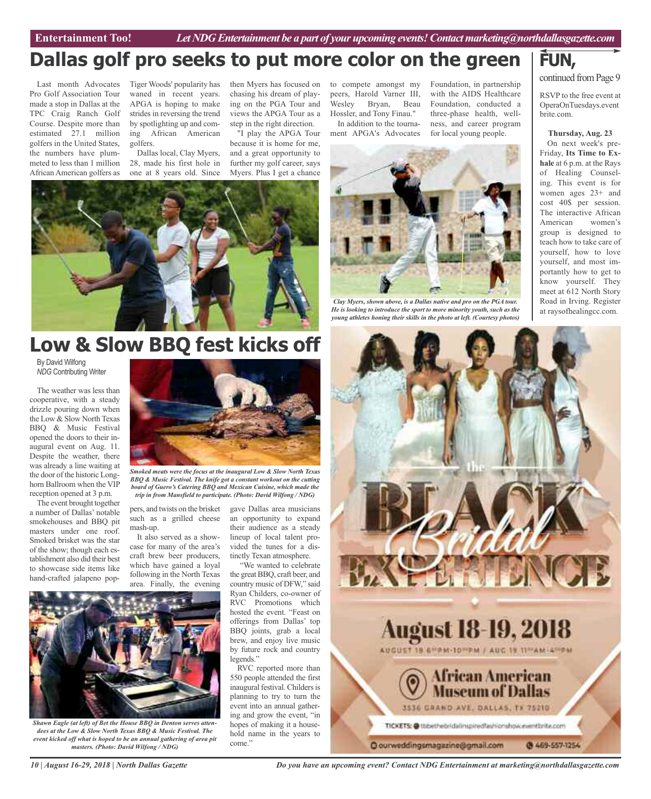### **Dallas golf pro seeks to put more color on the green**

Last month Advocates Pro Golf Association Tour made a stop in Dallas at the TPC Craig Ranch Golf Course. Despite more than estimated 27.1 million golfers in the United States, the numbers have plummeted to less than 1 million African American golfers as

Tiger Woods' popularity has waned in recent years. APGA is hoping to make strides in reversing the trend by spotlighting up and coming African American golfers.

Dallas local, Clay Myers, 28, made his first hole in one at 8 years old. Since

then Myers has focused on to compete amongst my chasing his dream of playing on the PGA Tour and views the APGA Tour as a step in the right direction.

"I play the APGA Tour because it is home for me, and a great opportunity to further my golf career, says Myers. Plus I get a chance



### **Low & Slow BBQ fest kicks off**

By David Wilfong *NDG* Contributing Writer

The weather was less than cooperative, with a steady drizzle pouring down when the Low & Slow North Texas BBQ & Music Festival opened the doors to their inaugural event on Aug. 11. Despite the weather, there was already a line waiting at the door of the historic Longhorn Ballroom when the VIP reception opened at 3 p.m.

The event brought together a number of Dallas' notable smokehouses and BBQ pit masters under one roof. Smoked brisket was the star of the show; though each establishment also did their best to showcase side items like hand-crafted jalapeno pop-



*BBQ & Music Festival. The knife got a constant workout on the cutting board of Guero's Catering BBQ and Mexican Cuisine, which made the trip in from Mansfield to participate. (Photo: David Wilfong / NDG)*

pers, and twists on the brisket such as a grilled cheese mash-up.

It also served as a showcase for many of the area's craft brew beer producers, which have gained a loyal following in the North Texas area. Finally, the evening

*Shawn Eagle (at left) of Bet the House BBQ in Denton serves attendees at the Low & Slow North Texas BBQ & Music Festival. The event kicked off what is hoped to be an annual gathering of area pit masters. (Photo: David Wilfong / NDG)*

gave Dallas area musicians an opportunity to expand their audience as a steady lineup of local talent provided the tunes for a dis-

tinctly Texan atmosphere. "We wanted to celebrate the great BBQ, craft beer, and country music of DFW," said Ryan Childers, co-owner of RVC Promotions which hosted the event. "Feast on offerings from Dallas' top BBQ joints, grab a local brew, and enjoy live music by future rock and country legends."

RVC reported more than 550 people attended the first inaugural festival. Childers is planning to try to turn the event into an annual gathering and grow the event, "in hopes of making it a household name in the years to come."

peers, Harold Varner III, Wesley Bryan, Beau Hossler, and Tony Finau." In addition to the tourna-

ment APGA's Advocates

Foundation, in partnership with the AIDS Healthcare Foundation, conducted a three-phase health, wellness, and career program for local young people.



*Clay Myers, shown above, is a Dallas native and pro on the PGA tour. He is looking to introduce the sport to more minority youth, such as the young athletes honing their skills in the photo at left. (Courtesy photos)*

**FUN,** continued from Page 9

RSVP to the free event at OperaOnTuesdays.event brite.com.

#### **Thursday, Aug. 23**

On next week's pre-Friday, **Its Time to Exhale** at 6 p.m. at the Rays of Healing Counseling. This event is for women ages 23+ and cost 40\$ per session. The interactive African American women's group is designed to teach how to take care of yourself, how to love yourself, and most importantly how to get to know yourself. They meet at 612 North Story Road in Irving. Register at raysofhealingcc.com.



*Do you have an upcoming event? Contact NDG Entertainment at marketing@northdallasgazette.com*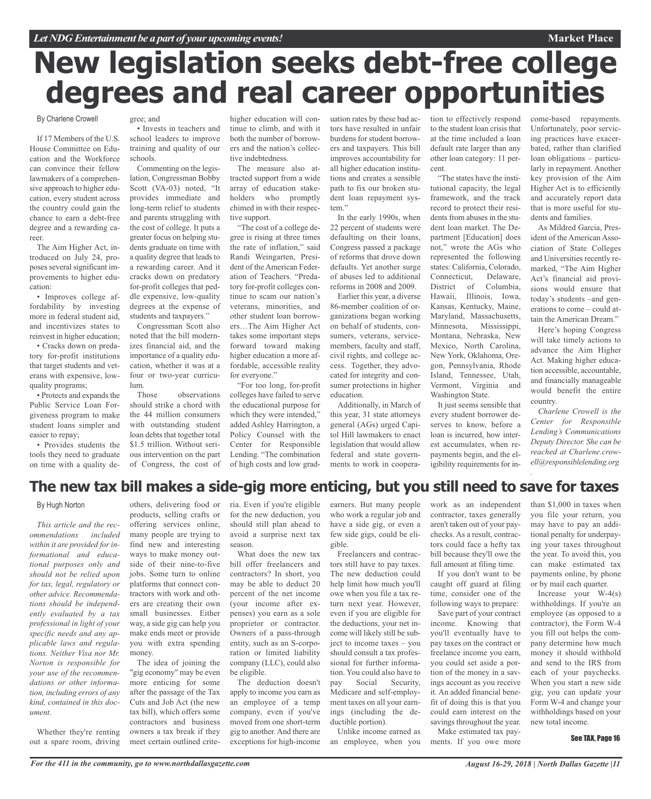## **New legislation seeks debt-free college degrees and real career opportunities**

By Charlene Crowell

If 17 Members of the U.S. House Committee on Education and the Workforce can convince their fellow lawmakers of a comprehensive approach to higher education, every student across the country could gain the chance to earn a debt-free degree and a rewarding career.

The Aim Higher Act, introduced on July 24, proposes several significant improvements to higher education:

• Improves college affordability by investing more in federal student aid, and incentivizes states to reinvest in higher education;

• Cracks down on predatory for-profit institutions that target students and veterans with expensive, lowquality programs;

• Protects and expands the Public Service Loan Forgiveness program to make student loans simpler and easier to repay;

• Provides students the tools they need to graduate on time with a quality degree; and

• Invests in teachers and school leaders to improve training and quality of our schools.

Commenting on the legislation, Congressman Bobby Scott (VA-03) noted, "It provides immediate and long-term relief to students and parents struggling with the cost of college. It puts a greater focus on helping students graduate on time with a quality degree that leads to a rewarding career. And it cracks down on predatory for-profit colleges that peddle expensive, low-quality degrees at the expense of students and taxpayers."

Congressman Scott also noted that the bill modernizes financial aid, and the importance of a quality education, whether it was at a four or two-year curriculum.<br>Those

observations should strike a chord with the 44 million consumers with outstanding student loan debts that together total \$1.5 trillion. Without serious intervention on the part of Congress, the cost of

higher education will continue to climb, and with it both the number of borrowers and the nation's collective indebtedness.

The measure also attracted support from a wide array of education stakeholders who promptly chimed in with their respective support.

"The cost of a college degree is rising at three times the rate of inflation," said Randi Weingarten, President of the American Federation of Teachers. "Predatory for-profit colleges continue to scam our nation's veterans, minorities, and other student loan borrowers…The Aim Higher Act takes some important steps forward toward making higher education a more affordable, accessible reality for everyone."

"For too long, for-profit colleges have failed to serve the educational purpose for which they were intended," added Ashley Harrington, a Policy Counsel with the Center for Responsible Lending. "The combination of high costs and low graduation rates by these bad actors have resulted in unfair burdens for student borrowers and taxpayers. This bill improves accountability for all higher education institutions and creates a sensible path to fix our broken student loan repayment system."

In the early 1990s, when 22 percent of students were defaulting on their loans, Congress passed a package of reforms that drove down defaults. Yet another surge of abuses led to additional reforms in 2008 and 2009.

Earlier this year, a diverse 86-member coalition of organizations began working on behalf of students, consumers, veterans, servicemembers, faculty and staff, civil rights, and college access. Together, they advocated for integrity and consumer protections in higher education.

Additionally, in March of this year, 31 state attorneys general (AGs) urged Capitol Hill lawmakers to enact legislation that would allow federal and state governments to work in cooperation to effectively respond to the student loan crisis that at the time included a loan default rate larger than any other loan category: 11 percent.

"The states have the institutional capacity, the legal framework, and the track record to protect their residents from abuses in the student loan market. The Department [Education] does not," wrote the AGs who represented the following states: California, Colorado, Connecticut, Delaware, District of Columbia, Hawaii, Illinois, Iowa, Kansas, Kentucky, Maine, Maryland, Massachusetts,<br>Minnesota, Mississippi, Mississippi, Montana, Nebraska, New Mexico, North Carolina, New York, Oklahoma, Oregon, Pennsylvania, Rhode Island, Tennessee, Utah, Vermont, Virginia and Washington State.

It just seems sensible that every student borrower deserves to know, before a loan is incurred, how interest accumulates, when repayments begin, and the eligibility requirements for income-based repayments. Unfortunately, poor servicing practices have exacerbated, rather than clarified loan obligations – particularly in repayment. Another key provision of the Aim Higher Act is to efficiently and accurately report data that is more useful for students and families.

**Market Place**

As Mildred Garcia, President of the American Association of State Colleges and Universities recently remarked, "The Aim Higher Act's financial aid provisions would ensure that today's students –and generations to come – could attain the American Dream."

Here's hoping Congress will take timely actions to advance the Aim Higher Act. Making higher education accessible, accountable, and financially manageable would benefit the entire country.

*Charlene Crowell is the Center for Responsible Lending's Communications Deputy Director. She can be reached at Charlene.crowell@responsiblelending.org*

*.*

### **The new tax bill makes a side-gig more enticing, but you still need to save for taxes**

#### By Hugh Norton

*This article and the recommendations included within it are provided for informational and educational purposes only and should not be relied upon for tax, legal, regulatory or other advice. Recommendations should be independently evaluated by a tax professional in light of your specific needs and any applicable laws and regulations. Neither Visa nor Mr. Norton is responsible for your use of the recommendations or other information, including errors of any kind, contained in this document.*

Whether they're renting out a spare room, driving

others, delivering food or products, selling crafts or offering services online, many people are trying to find new and interesting ways to make money outside of their nine-to-five jobs. Some turn to online platforms that connect contractors with work and others are creating their own small businesses. Either way, a side gig can help you make ends meet or provide you with extra spending money.

The idea of joining the "gig economy" may be even more enticing for some after the passage of the Tax Cuts and Job Act (the new tax bill), which offers some contractors and business owners a tax break if they meet certain outlined crite-

ria. Even if you're eligible for the new deduction, you should still plan ahead to avoid a surprise next tax season.

What does the new tax bill offer freelancers and contractors? In short, you may be able to deduct 20 percent of the net income (your income after expenses) you earn as a sole proprietor or contractor. Owners of a pass-through entity, such as an S-corporation or limited liability company (LLC), could also be eligible.

The deduction doesn't apply to income you earn as an employee of a temp company, even if you've moved from one short-term gig to another. And there are exceptions for high-income

earners. But many people who work a regular job and have a side gig, or even a few side gigs, could be eligible.

Freelancers and contractors still have to pay taxes. The new deduction could help limit how much you'll owe when you file a tax return next year. However, even if you are eligible for the deductions, your net income will likely still be subject to income taxes – you should consult a tax professional for further information. You could also have to pay Social Security, Medicare and self-employment taxes on all your earnings (including the deductible portion).

Unlike income earned as an employee, when you work as an independent contractor, taxes generally aren't taken out of your paychecks. As a result, contractors could face a hefty tax bill because they'll owe the full amount at filing time.

If you don't want to be caught off guard at filing time, consider one of the following ways to prepare:

Save part of your contract income. Knowing that you'll eventually have to pay taxes on the contract or freelance income you earn, you could set aside a portion of the money in a savings account as you receive it. An added financial benefit of doing this is that you could earn interest on the savings throughout the year.

Make estimated tax payments. If you owe more than \$1,000 in taxes when you file your return, you may have to pay an additional penalty for underpaying your taxes throughout the year. To avoid this, you can make estimated tax payments online, by phone or by mail each quarter.

Increase your W-4(s) withholdings. If you're an employee (as opposed to a contractor), the Form W-4 you fill out helps the company determine how much money it should withhold and send to the IRS from each of your paychecks. When you start a new side gig, you can update your Form W-4 and change your withholdings based on your new total income.

#### See TAX, Page 16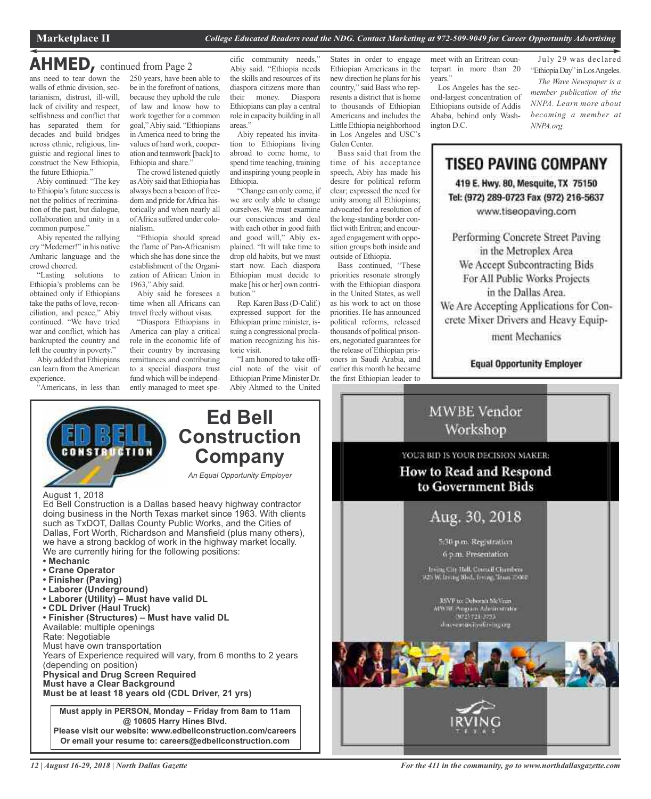### **AHMED,** continued from Page <sup>2</sup>

ans need to tear down the 250 years, have been able to walls of ethnic division, sectarianism, distrust, ill-will, lack of civility and respect, selfishness and conflict that has separated them for decades and build bridges across ethnic, religious, linguistic and regional lines to construct the New Ethiopia, the future Ethiopia."

Abiy continued: "The key to Ethiopia's future success is not the politics of recrimination of the past, but dialogue, collaboration and unity in a common purpose."

Abiy repeated the rallying cry "Medemer!" in his native Amharic language and the crowd cheered.

"Lasting solutions to Ethiopia's problems can be obtained only if Ethiopians take the paths of love, reconciliation, and peace," Abiy continued. "We have tried war and conflict, which has bankrupted the country and left the country in poverty."

Abiy added that Ethiopians can learn from the American experience.

"Americans, in less than

be in the forefront of nations, because they uphold the rule of law and know how to work together for a common goal,"Abiy said. "Ethiopians in America need to bring the values of hard work, cooperation and teamwork [back] to Ethiopia and share."

The crowd listened quietly asAbiy said that Ethiopia has always been a beacon of freedom and pride forAfrica historically and when nearly all ofAfrica suffered under colonialism.

"Ethiopia should spread the flame of Pan-Africanism which she has done since the establishment of the Organization of African Union in 1963," Abiy said.

Abiy said he foresees a time when all Africans can travel freely without visas.

"Diaspora Ethiopians in America can play a critical role in the economic life of their country by increasing remittances and contributing to a special diaspora trust fund which will be independently managed to meet spe-

cific community needs," Abiy said. "Ethiopia needs the skills and resources of its diaspora citizens more than their money. Diaspora Ethiopians can play a central role in capacity building in all areas."

Abiy repeated his invitation to Ethiopians living abroad to come home, to spend time teaching, training and inspiring young people in Ethiopia.

"Change can only come, if we are only able to change ourselves. We must examine our consciences and deal with each other in good faith and good will," Abiy explained. "It will take time to drop old habits, but we must start now. Each diaspora Ethiopian must decide to make [his or her] own contribution."

Rep. Karen Bass (D-Calif.) expressed support for the Ethiopian prime minister, issuing a congressional proclamation recognizing his historic visit.

"I am honored to take official note of the visit of Ethiopian Prime Minister Dr. Abiy Ahmed to the United

States in order to engage Ethiopian Americans in the new direction he plans for his country," said Bass who represents a district that is home to thousands of Ethiopian Americans and includes the Little Ethiopia neighborhood in Los Angeles and USC's Galen Center.

Bass said that from the time of his acceptance speech, Abiy has made his desire for political reform clear; expressed the need for unity among all Ethiopians; advocated for a resolution of the long-standing border conflict with Eritrea; and encouraged engagement with opposition groups both inside and outside of Ethiopia.

Bass continued, "These priorities resonate strongly with the Ethiopian diaspora in the United States, as well as his work to act on those priorities. He has announced political reforms, released thousands of political prisoners, negotiated guarantees for the release of Ethiopian prisoners in Saudi Arabia, and earlier this month he became the first Ethiopian leader to

meet with an Eritrean counterpart in more than 20 years."

Los Angeles has the second-largest concentration of Ethiopians outside of Addis Ababa, behind only Washington D.C.

July 29 was declared "EthiopiaDay"inLosAngeles.

*The Wave Newspaper is a member publication of the NNPA. Learn more about becoming a member at NNPA.org.*

### **TISEO PAVING COMPANY**

419 E. Hwy. 80, Mesquite, TX 75150 Tel: (972) 289-0723 Fax (972) 216-5637 www.tiseopaving.com

Performing Concrete Street Paving in the Metroplex Area We Accept Subcontracting Bids For All Public Works Projects in the Dallas Area. We Are Accepting Applications for Concrete Mixer Drivers and Heavy Equipment Mechanics

**Equal Opportunity Employer** 





### **Ed Bell Construction Company**

*An Equal Opportunity Employer*

August 1, 2018

CONSTR

**• Mechanic • Crane Operator • Finisher (Paving)**

**• Laborer (Underground)**

**• CDL Driver (Haul Truck)**

Available: multiple openings

Must have own transportation

(depending on position)

Rate: Negotiable

**• Laborer (Utility) – Must have valid DL**

**Physical and Drug Screen Required Must have a Clear Background**

**• Finisher (Structures) – Must have valid DL**

**Must be at least 18 years old (CDL Driver, 21 yrs)**

**Must apply in PERSON, Monday – Friday from 8am to 11am @ 10605 Harry Hines Blvd.**

**Or email your resume to: careers@edbellconstruction.com**

Ed Bell Construction is a Dallas based heavy highway contractor doing business in the North Texas market since 1963. With clients such as TxDOT, Dallas County Public Works, and the Cities of Dallas, Fort Worth, Richardson and Mansfield (plus many others), we have a strong backlog of work in the highway market locally. We are currently hiring for the following positions: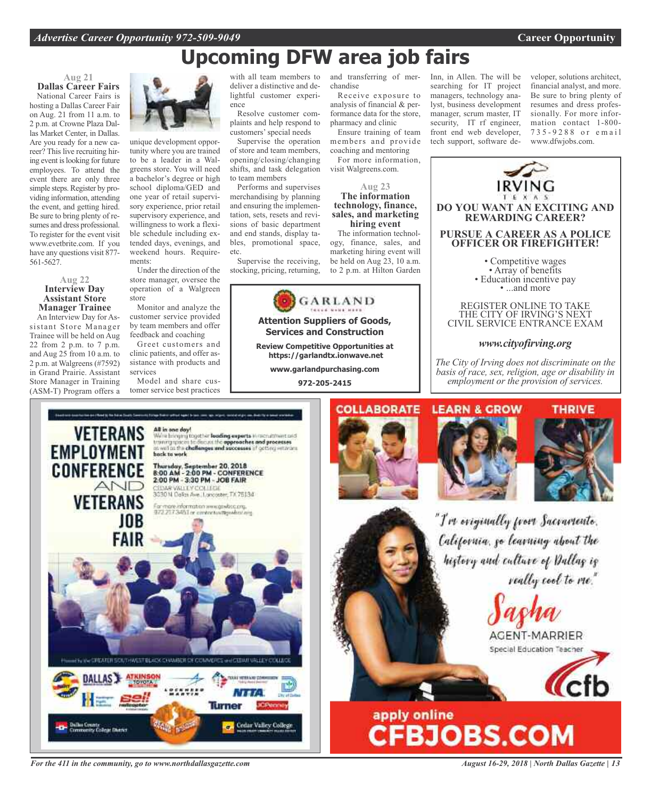## **Upcoming DFW area job fairs**

### **Aug 21 Dallas Career Fairs**

National Career Fairs is hosting a Dallas Career Fair on Aug. 21 from 11 a.m. to 2 p.m. at Crowne Plaza Dallas Market Center, in Dallas. Are you ready for a new career? This live recruiting hiring event is looking for future employees. To attend the event there are only three simple steps. Register by providing information, attending the event, and getting hired. Be sure to bring plenty of resumes and dress professional. To register for the event visit www.evetbrite.com. If you have any questions visit 877- 561-5627.



An Interview Day for Assistant Store Manager Trainee will be held on Aug 22 from 2 p.m. to 7 p.m. and Aug 25 from 10 a.m. to 2 p.m. at Walgreens (#7592) in Grand Prairie. Assistant Store Manager in Training (ASM-T) Program offers a

VETERANS

**VETERANS** 

AND

JOB

EMPLOYMENT

**CONFERENCE** 

Dallas County<br>Community College District



unique development opportunity where you are trained to be a leader in a Walgreens store. You will need a bachelor's degree or high school diploma/GED and one year of retail supervisory experience, prior retail supervisory experience, and willingness to work a flexible schedule including extended days, evenings, and weekend hours. Requirements:

Under the direction of the store manager, oversee the operation of a Walgreen store

Monitor and analyze the customer service provided by team members and offer feedback and coaching

Greet customers and clinic patients, and offer assistance with products and services

Model and share customer service best practices

All in one doy

We're intropry together leading experts in monument and<br>training spaces to decast the opproaches and processes<br>at well as the challenges and successes of gotting veterants<br>back to work

Thursday, September 20, 2018<br>8:00 AM - 2:00 PM - CONFERENCE<br>2:00 PM - 3:30 PM - JOB FAIR

CEDAR VALLEY COLLEGE<br>303014 Dalta Ave., Lancaster, TX 75134

For more information www.govitoc.org.<br>073.217.3451 or contractuvilligentics.org

SMEARER SOUTHWEST BLACK CHAMBER DK COMMERCE WHICEBAR VALLEY COLLECE

with all team members to deliver a distinctive and delightful customer experience

Resolve customer complaints and help respond to customers'special needs

Supervise the operation of store and team members, opening/closing/changing shifts, and task delegation to team members

Performs and supervises merchandising by planning and ensuring the implementation, sets, resets and revisions of basic department and end stands, display tables, promotional space, etc.

Supervise the receiving, stocking, pricing, returning,



### **Attention Suppliers of Goods, Services and Construction**

**Review Competitive Opportunities at https://garlandtx.ionwave.net**

**www.garlandpurchasing.com**

**972-205-2415**

and transferring of merchandise

Receive exposure to analysis of financial & performance data for the store, pharmacy and clinic

Ensure training of team members and provide coaching and mentoring

For more information, visit Walgreens.com.

**Aug 23 The information**  $sales, and marketing$ **hiring event**

The information technology, finance, sales, and marketing hiring event will be held on Aug 23, 10 a.m. to 2 p.m. at Hilton Garden

**COLLABORATE** 

Inn, in Allen. The will be searching for IT project managers, technology analyst, business development manager, scrum master, IT security, IT rf engineer, front end web developer, tech support, software de-

veloper, solutions architect, financial analyst, and more. Be sure to bring plenty of resumes and dress professionally. For more information contact 1-800- 7 3 5 - 9 2 8 8 o r e m a i l www.dfwjobs.com.



"I've originally from Sacramento. California, go learning about the history and culture of Dallas is really cool to me."



Special Education Teacher



*For the 411 in the community, go to www.northdallasgazette.com*

Turner

MAAA YIITIIN AANYA  $T = T$ 

Cedar Valley College

*August 16-29, 2018 | North Dallas Gazette | 13*

apply online<br>CFBJOBS.COM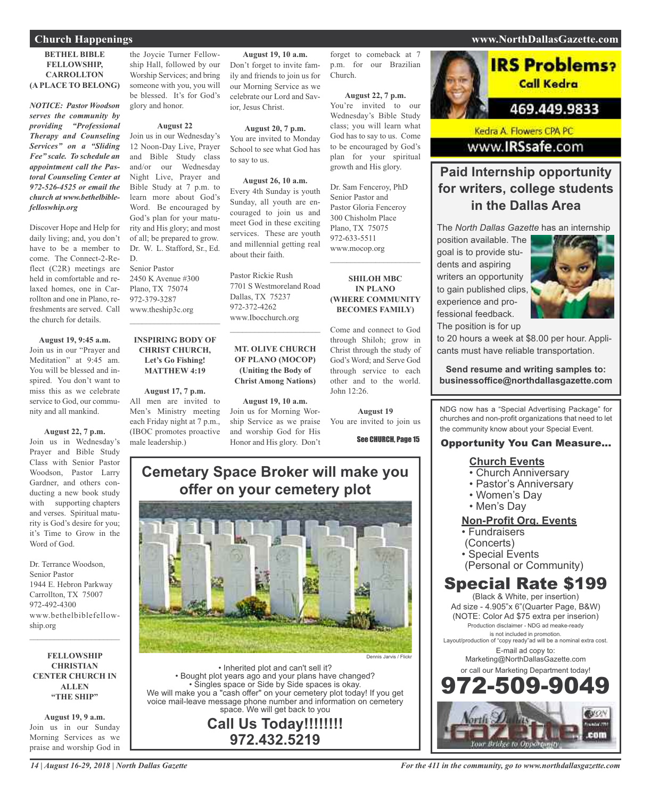### **Church Happenings www.NorthDallasGazette.com**

### **BETHEL BIBLE FELLOWSHIP, CARROLLTON (A PLACE TO BELONG)**

*NOTICE: Pastor Woodson serves the community by providing "Professional Therapy and Counseling Services" on a "Sliding Fee" scale. To schedule an appointment call the Pastoral Counseling Center at 972-526-4525 or email the church at www.bethelbiblefelloswhip.org*

Discover Hope and Help for daily living; and, you don't have to be a member to come. The Connect-2-Reflect (C2R) meetings are held in comfortable and relaxed homes, one in Carrollton and one in Plano, refreshments are served. Call the church for details.

**August 19, 9:45 a.m.** Join us in our "Prayer and Meditation" at 9:45 am. You will be blessed and inspired. You don't want to miss this as we celebrate service to God, our community and all mankind.

#### **August 22, 7 p.m.**

Join us in Wednesday's Prayer and Bible Study Class with Senior Pastor Woodson, Pastor Larry Gardner, and others conducting a new book study with supporting chapters and verses. Spiritual maturity is God's desire for you; it's Time to Grow in the Word of God.

Dr. Terrance Woodson, Senior Pastor 1944 E. Hebron Parkway Carrollton, TX 75007 972-492-4300 www.bethelbiblefellowship.org

**FELLOWSHIP CHRISTIAN CENTER CHURCH IN ALLEN "THE SHIP"**

 $\frac{1}{2}$  ,  $\frac{1}{2}$  ,  $\frac{1}{2}$  ,  $\frac{1}{2}$  ,  $\frac{1}{2}$  ,  $\frac{1}{2}$  ,  $\frac{1}{2}$  ,  $\frac{1}{2}$  ,  $\frac{1}{2}$  ,  $\frac{1}{2}$ 

**August 19, 9 a.m.** Join us in our Sunday Morning Services as we praise and worship God in the Joycie Turner Fellowship Hall, followed by our Worship Services; and bring someone with you, you will be blessed. It's for God's glory and honor.

### **August 22**

Join us in our Wednesday's 12 Noon-Day Live, Prayer and Bible Study class and/or our Wednesday Night Live, Prayer and Bible Study at 7 p.m. to learn more about God's Word. Be encouraged by God's plan for your maturity and His glory; and most of all; be prepared to grow. Dr. W. L. Stafford, Sr., Ed. D. Senior Pastor 2450 K Avenue #300 Plano, TX 75074 972-379-3287 www.theship3c.org

### **INSPIRING BODY OF CHRIST CHURCH, Let's Go Fishing! MATTHEW 4:19**

 $\mathcal{L}_\text{max}$  , which is a set of the set of the set of the set of the set of the set of the set of the set of the set of the set of the set of the set of the set of the set of the set of the set of the set of the set of

**August 17, 7 p.m.** All men are invited to Men's Ministry meeting each Friday night at 7 p.m., (IBOC promotes proactive male leadership.)

**August 19, 10 a.m.** Don't forget to invite family and friends to join us for our Morning Service as we celebrate our Lord and Savior, Jesus Christ.

**August 20, 7 p.m.**

You are invited to Monday School to see what God has to say to us.

### **August 26, 10 a.m.**

Every 4th Sunday is youth Sunday, all youth are encouraged to join us and meet God in these exciting services. These are youth and millennial getting real about their faith.

Pastor Rickie Rush 7701 S Westmoreland Road Dallas, TX 75237 972-372-4262 www.Ibocchurch.org

 $\overline{\phantom{a}}$  , and the set of the set of the set of the set of the set of the set of the set of the set of the set of the set of the set of the set of the set of the set of the set of the set of the set of the set of the s

### **MT. OLIVE CHURCH OF PLANO (MOCOP) (Uniting the Body of Christ Among Nations)**

#### **August 19, 10 a.m.**

Join us for Morning Worship Service as we praise and worship God for His Honor and His glory. Don't

### **Cemetary Space Broker will make you offer on your cemetery plot**



• Inherited plot and can't sell it? • Bought plot years ago and your plans have changed? • Singles space or Side by Side spaces is okay. We will make you a "cash offer" on your cemetery plot today! If you get voice mail-leave message phone number and information on cemetery space. We will get back to you

**Call Us Today!!!!!!!! 972.432.5219**

forget to comeback at 7 p.m. for our Brazilian Church.

**August 22, 7 p.m.** You're invited to our Wednesday's Bible Study class; you will learn what God has to say to us. Come to be encouraged by God's plan for your spiritual growth and His glory.

Dr. Sam Fenceroy, PhD Senior Pastor and Pastor Gloria Fenceroy 300 Chisholm Place Plano, TX 75075 972-633-5511 www.mocop.org

### **SHILOH MBC IN PLANO (WHERE COMMUNITY BECOMES FAMILY)**

 $\mathcal{L}=\mathcal{L}^{\mathcal{L}}$  , where  $\mathcal{L}^{\mathcal{L}}$  , we have the set of the set of the set of the set of the set of the set of the set of the set of the set of the set of the set of the set of the set of the set of the set of

Come and connect to God through Shiloh; grow in Christ through the study of God's Word; and Serve God through service to each other and to the world. John 12:26.

**August 19** You are invited to join us

See CHURCH, Page 15

### **IRS Problems?** Call Kedra 469.449.9833 Kedra A. Flowers CPA PC

www.IRSsafe.com

### **Paid Internship opportunity for writers, college students in the Dallas Area**

The *North Dallas Gazette* has an internship

position available. The goal is to provide students and aspiring writers an opportunity to gain published clips, experience and professional feedback. The position is for up



to 20 hours a week at \$8.00 per hour. Applicants must have reliable transportation.

**Send resume and writing samples to: businessoffice@northdallasgazette.com**

NDG now has a "Special Advertising Package" for churches and non-profit organizations that need to let the community know about your Special Event.

### Opportunity You Can Measure...

### **Church Events**

- Church Anniversary
- Pastor's Anniversary
- Women's Day
- Men's Day

### **Non-Profit Org. Events**

- Fundraisers
- (Concerts)
- Special Events
- (Personal or Community)

### Special Rate \$199

(Black & White, per insertion) Ad size - 4.905"x 6"(Quarter Page, B&W) (NOTE: Color Ad \$75 extra per inserion) Production disclaimer - NDG ad meake-ready is not included in promotion. Layout/production of "copy ready"ad will be a nominal extra cost. E-mail ad copy to: Marketing@NorthDallasGazette.com or call our Marketing Department today! 972-509-9049

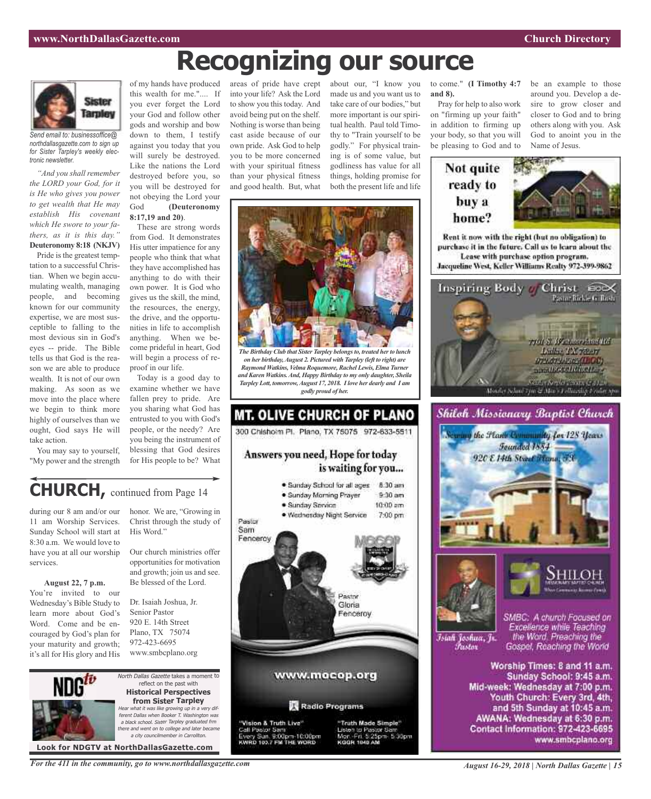## Sister aruley

*Send email to: businessoffice@ northdallasgazette.com to sign up for Sister Tarpley's weekly electronic newsletter.*

*"And you shall remember the LORD your God, for it is He who gives you power to get wealth that He may establish His covenant which He swore to your fathers, as it is this day."* **Deuteronomy 8:18 (NKJV)**

Pride is the greatest temptation to a successful Christian. When we begin accumulating wealth, managing people, and becoming known for our community expertise, we are most susceptible to falling to the most devious sin in God's eyes -- pride. The Bible tells us that God is the reason we are able to produce wealth. It is not of our own making. As soon as we move into the place where we begin to think more highly of ourselves than we ought, God says He will take action.

You may say to yourself, "My power and the strength

this wealth for me.".... If you ever forget the Lord your God and follow other gods and worship and bow down to them, I testify against you today that you will surely be destroyed. Like the nations the Lord destroyed before you, so you will be destroyed for not obeying the Lord your God **(Deuteronomy 8:17,19 and 20)**.

These are strong words from God. It demonstrates His utter impatience for any people who think that what they have accomplished has anything to do with their own power. It is God who gives us the skill, the mind, the resources, the energy, the drive, and the opportunities in life to accomplish anything. When we become prideful in heart, God will begin a process of reproof in our life.

Today is a good day to examine whether we have fallen prey to pride. Are you sharing what God has entrusted to you with God's people, or the needy? Are you being the instrument of blessing that God desires for His people to be? What

of my hands have produced areas of pride have crept into your life? Ask the Lord to show you this today. And avoid being put on the shelf. Nothing is worse than being cast aside because of our own pride. Ask God to help you to be more concerned with your spiritual fitness than your physical fitness and good health. But, what about our, "I know you made us and you want us to take care of our bodies," but more important is our spiritual health. Paul told Timothy to "Train yourself to be godly." For physical training is of some value, but godliness has value for all things, holding promise for both the present life and life



**Recognizing our source**

*The Birthday Club that Sister Tarpley belongsto, treated herto lunch on her birthday,August 2. Pictured with Tarpley (left to right) are Raymond Watkins, Velma Roquemore, Rachel Lewis, Elma Turner and Karen Watkins.And, Happy Birthday to my only daughter, Sheila Tarpley Lott, tomorrow,August 17, 2018. Ilove her dearly and I am godly proud of her.*



to come." **(I Timothy 4:7 and 8).**

Pray for help to also work on "firming up your faith" in addition to firming up your body, so that you will be pleasing to God and to

be an example to those around you. Develop a desire to grow closer and closer to God and to bring others along with you. Ask God to anoint you in the Name of Jesus.

### Not quite ready to buy a home?



Rent it now with the right (but no obligation) to purchase it in the future. Call us to learn about the Lease with purchase option program. Jacqueline West, Keller Williams Realty 972-399-9862







Īsiah Joshua, Jr. Fustor

SMBC: A church Focused on Excellence while Teaching the Word. Preaching the Gospel, Reaching the World

Worship Times: 8 and 11 a.m. Sunday School: 9:45 a.m. Mid-week: Wednesday at 7:00 p.m. Youth Church: Every 3rd, 4th, and 5th Sunday at 10:45 a.m. AWANA: Wednesday at 6:30 p.m. Contact Information: 972-423-6695 www.smbcplano.org

**CHURCH,** continued from Page <sup>14</sup>

during our 8 am and/or our 11 am Worship Services. Sunday School will start at 8:30 a.m. We would love to have you at all our worship services.

#### **August 22, 7 p.m.**

You're invited to our Wednesday's Bible Study to learn more about God's Word. Come and be encouraged by God's plan for your maturity and growth; it's all for His glory and His honor. We are, "Growing in Christ through the study of His Word."

Our church ministries offer opportunities for motivation and growth; join us and see. Be blessed of the Lord.

Dr. Isaiah Joshua, Jr. Senior Pastor 920 E. 14th Street Plano, TX 75074 972-423-6695 www.smbcplano.org



North Dallas Gazette takes a moment to reflect on the past with **Historical Perspectives from Sister Tarpley** Hear what it was like growing up in <sup>a</sup> very different Dallas when Booker T. Washington was <sup>a</sup> black school. Sister Tarpley graduated frm there and went on to college and later became a city councilmember in Carroll

**Look for NDGTV at NorthDallasGazette.com**

*For the 411 in the community, go to www.northdallasgazette.com*